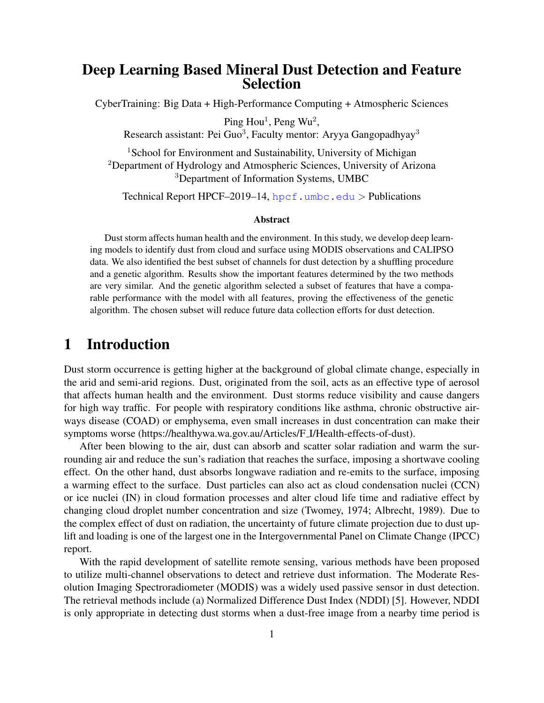### Deep Learning Based Mineral Dust Detection and Feature Selection

CyberTraining: Big Data + High-Performance Computing + Atmospheric Sciences

Ping  $Hou<sup>1</sup>$ , Peng Wu<sup>2</sup>,

Research assistant: Pei Guo<sup>3</sup>, Faculty mentor: Aryya Gangopadhyay<sup>3</sup>

<sup>1</sup>School for Environment and Sustainability, University of Michigan <sup>2</sup>Department of Hydrology and Atmospheric Sciences, University of Arizona <sup>3</sup>Department of Information Systems, UMBC

Technical Report HPCF–2019–14,  $hper.$ umbc.edu > Publications

#### Abstract

Dust storm affects human health and the environment. In this study, we develop deep learning models to identify dust from cloud and surface using MODIS observations and CALIPSO data. We also identified the best subset of channels for dust detection by a shuffling procedure and a genetic algorithm. Results show the important features determined by the two methods are very similar. And the genetic algorithm selected a subset of features that have a comparable performance with the model with all features, proving the effectiveness of the genetic algorithm. The chosen subset will reduce future data collection efforts for dust detection.

### 1 Introduction

Dust storm occurrence is getting higher at the background of global climate change, especially in the arid and semi-arid regions. Dust, originated from the soil, acts as an effective type of aerosol that affects human health and the environment. Dust storms reduce visibility and cause dangers for high way traffic. For people with respiratory conditions like asthma, chronic obstructive airways disease (COAD) or emphysema, even small increases in dust concentration can make their symptoms worse (https://healthywa.wa.gov.au/Articles/F I/Health-effects-of-dust).

After been blowing to the air, dust can absorb and scatter solar radiation and warm the surrounding air and reduce the sun's radiation that reaches the surface, imposing a shortwave cooling effect. On the other hand, dust absorbs longwave radiation and re-emits to the surface, imposing a warming effect to the surface. Dust particles can also act as cloud condensation nuclei (CCN) or ice nuclei (IN) in cloud formation processes and alter cloud life time and radiative effect by changing cloud droplet number concentration and size (Twomey, 1974; Albrecht, 1989). Due to the complex effect of dust on radiation, the uncertainty of future climate projection due to dust uplift and loading is one of the largest one in the Intergovernmental Panel on Climate Change (IPCC) report.

With the rapid development of satellite remote sensing, various methods have been proposed to utilize multi-channel observations to detect and retrieve dust information. The Moderate Resolution Imaging Spectroradiometer (MODIS) was a widely used passive sensor in dust detection. The retrieval methods include (a) Normalized Difference Dust Index (NDDI) [\[5\]](#page-8-0). However, NDDI is only appropriate in detecting dust storms when a dust-free image from a nearby time period is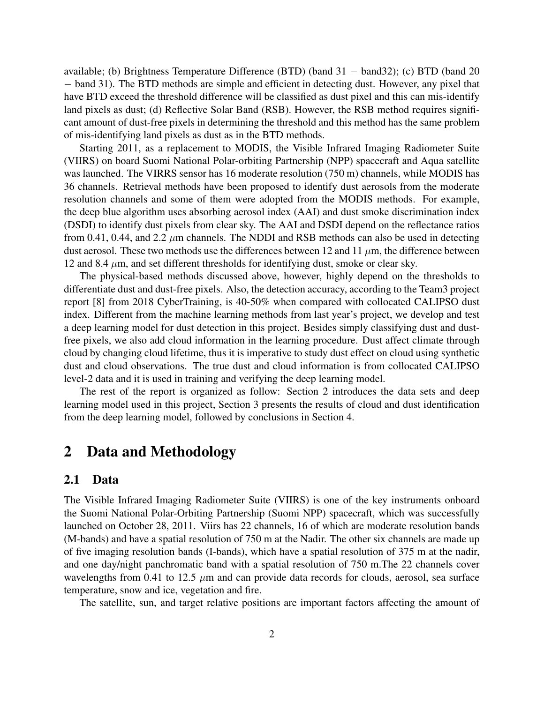available; (b) Brightness Temperature Difference (BTD) (band 31 − band32); (c) BTD (band 20 − band 31). The BTD methods are simple and efficient in detecting dust. However, any pixel that have BTD exceed the threshold difference will be classified as dust pixel and this can mis-identify land pixels as dust; (d) Reflective Solar Band (RSB). However, the RSB method requires significant amount of dust-free pixels in determining the threshold and this method has the same problem of mis-identifying land pixels as dust as in the BTD methods.

Starting 2011, as a replacement to MODIS, the Visible Infrared Imaging Radiometer Suite (VIIRS) on board Suomi National Polar-orbiting Partnership (NPP) spacecraft and Aqua satellite was launched. The VIRRS sensor has 16 moderate resolution (750 m) channels, while MODIS has 36 channels. Retrieval methods have been proposed to identify dust aerosols from the moderate resolution channels and some of them were adopted from the MODIS methods. For example, the deep blue algorithm uses absorbing aerosol index (AAI) and dust smoke discrimination index (DSDI) to identify dust pixels from clear sky. The AAI and DSDI depend on the reflectance ratios from 0.41, 0.44, and 2.2  $\mu$ m channels. The NDDI and RSB methods can also be used in detecting dust aerosol. These two methods use the differences between 12 and 11  $\mu$ m, the difference between 12 and 8.4  $\mu$ m, and set different thresholds for identifying dust, smoke or clear sky.

The physical-based methods discussed above, however, highly depend on the thresholds to differentiate dust and dust-free pixels. Also, the detection accuracy, according to the Team3 project report [\[8\]](#page-8-1) from 2018 CyberTraining, is 40-50% when compared with collocated CALIPSO dust index. Different from the machine learning methods from last year's project, we develop and test a deep learning model for dust detection in this project. Besides simply classifying dust and dustfree pixels, we also add cloud information in the learning procedure. Dust affect climate through cloud by changing cloud lifetime, thus it is imperative to study dust effect on cloud using synthetic dust and cloud observations. The true dust and cloud information is from collocated CALIPSO level-2 data and it is used in training and verifying the deep learning model.

The rest of the report is organized as follow: Section [2](#page-1-0) introduces the data sets and deep learning model used in this project, Section [3](#page-4-0) presents the results of cloud and dust identification from the deep learning model, followed by conclusions in Section [4.](#page-7-0)

## <span id="page-1-0"></span>2 Data and Methodology

#### 2.1 Data

The Visible Infrared Imaging Radiometer Suite (VIIRS) is one of the key instruments onboard the Suomi National Polar-Orbiting Partnership (Suomi NPP) spacecraft, which was successfully launched on October 28, 2011. Viirs has 22 channels, 16 of which are moderate resolution bands (M-bands) and have a spatial resolution of 750 m at the Nadir. The other six channels are made up of five imaging resolution bands (I-bands), which have a spatial resolution of 375 m at the nadir, and one day/night panchromatic band with a spatial resolution of 750 m.The 22 channels cover wavelengths from 0.41 to 12.5  $\mu$ m and can provide data records for clouds, aerosol, sea surface temperature, snow and ice, vegetation and fire.

The satellite, sun, and target relative positions are important factors affecting the amount of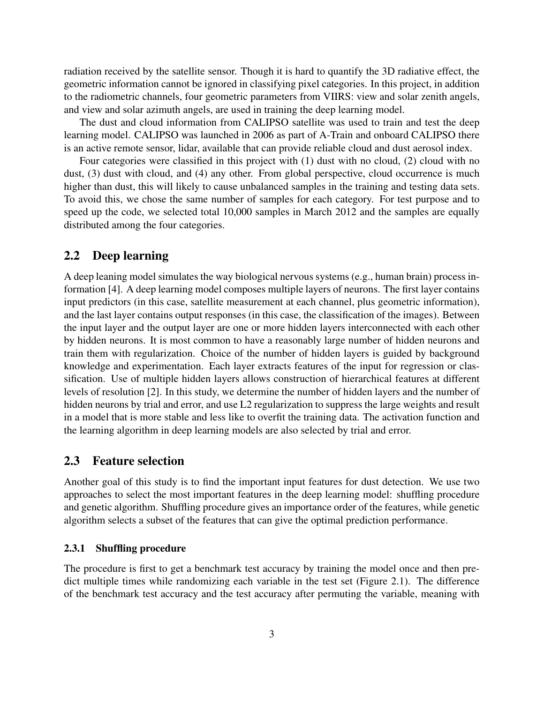radiation received by the satellite sensor. Though it is hard to quantify the 3D radiative effect, the geometric information cannot be ignored in classifying pixel categories. In this project, in addition to the radiometric channels, four geometric parameters from VIIRS: view and solar zenith angels, and view and solar azimuth angels, are used in training the deep learning model.

The dust and cloud information from CALIPSO satellite was used to train and test the deep learning model. CALIPSO was launched in 2006 as part of A-Train and onboard CALIPSO there is an active remote sensor, lidar, available that can provide reliable cloud and dust aerosol index.

Four categories were classified in this project with (1) dust with no cloud, (2) cloud with no dust, (3) dust with cloud, and (4) any other. From global perspective, cloud occurrence is much higher than dust, this will likely to cause unbalanced samples in the training and testing data sets. To avoid this, we chose the same number of samples for each category. For test purpose and to speed up the code, we selected total 10,000 samples in March 2012 and the samples are equally distributed among the four categories.

### 2.2 Deep learning

A deep leaning model simulates the way biological nervous systems (e.g., human brain) process information [\[4\]](#page-8-2). A deep learning model composes multiple layers of neurons. The first layer contains input predictors (in this case, satellite measurement at each channel, plus geometric information), and the last layer contains output responses (in this case, the classification of the images). Between the input layer and the output layer are one or more hidden layers interconnected with each other by hidden neurons. It is most common to have a reasonably large number of hidden neurons and train them with regularization. Choice of the number of hidden layers is guided by background knowledge and experimentation. Each layer extracts features of the input for regression or classification. Use of multiple hidden layers allows construction of hierarchical features at different levels of resolution [\[2\]](#page-7-1). In this study, we determine the number of hidden layers and the number of hidden neurons by trial and error, and use L2 regularization to suppress the large weights and result in a model that is more stable and less like to overfit the training data. The activation function and the learning algorithm in deep learning models are also selected by trial and error.

#### 2.3 Feature selection

Another goal of this study is to find the important input features for dust detection. We use two approaches to select the most important features in the deep learning model: shuffling procedure and genetic algorithm. Shuffling procedure gives an importance order of the features, while genetic algorithm selects a subset of the features that can give the optimal prediction performance.

#### 2.3.1 Shuffling procedure

The procedure is first to get a benchmark test accuracy by training the model once and then predict multiple times while randomizing each variable in the test set (Figure [2.1\)](#page-3-0). The difference of the benchmark test accuracy and the test accuracy after permuting the variable, meaning with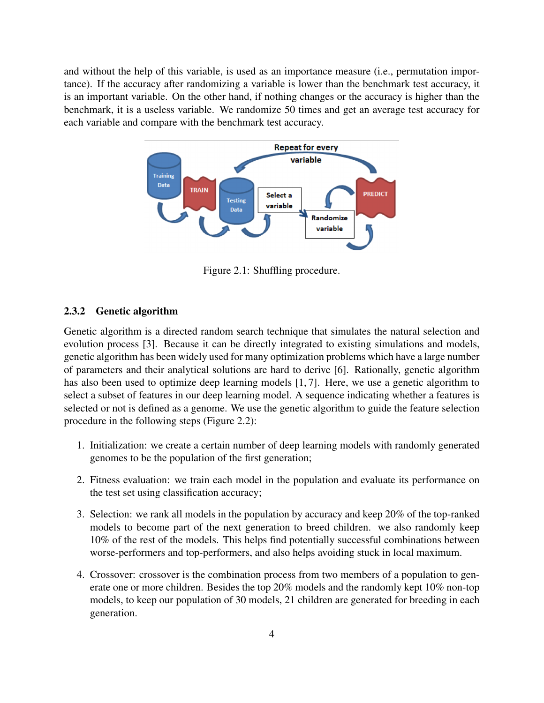and without the help of this variable, is used as an importance measure (i.e., permutation importance). If the accuracy after randomizing a variable is lower than the benchmark test accuracy, it is an important variable. On the other hand, if nothing changes or the accuracy is higher than the benchmark, it is a useless variable. We randomize 50 times and get an average test accuracy for each variable and compare with the benchmark test accuracy.



<span id="page-3-0"></span>Figure 2.1: Shuffling procedure.

#### 2.3.2 Genetic algorithm

Genetic algorithm is a directed random search technique that simulates the natural selection and evolution process [\[3\]](#page-8-3). Because it can be directly integrated to existing simulations and models, genetic algorithm has been widely used for many optimization problems which have a large number of parameters and their analytical solutions are hard to derive [\[6\]](#page-8-4). Rationally, genetic algorithm has also been used to optimize deep learning models [\[1,](#page-7-2)[7\]](#page-8-5). Here, we use a genetic algorithm to select a subset of features in our deep learning model. A sequence indicating whether a features is selected or not is defined as a genome. We use the genetic algorithm to guide the feature selection procedure in the following steps (Figure [2.2\)](#page-4-1):

- 1. Initialization: we create a certain number of deep learning models with randomly generated genomes to be the population of the first generation;
- 2. Fitness evaluation: we train each model in the population and evaluate its performance on the test set using classification accuracy;
- 3. Selection: we rank all models in the population by accuracy and keep 20% of the top-ranked models to become part of the next generation to breed children. we also randomly keep 10% of the rest of the models. This helps find potentially successful combinations between worse-performers and top-performers, and also helps avoiding stuck in local maximum.
- 4. Crossover: crossover is the combination process from two members of a population to generate one or more children. Besides the top 20% models and the randomly kept 10% non-top models, to keep our population of 30 models, 21 children are generated for breeding in each generation.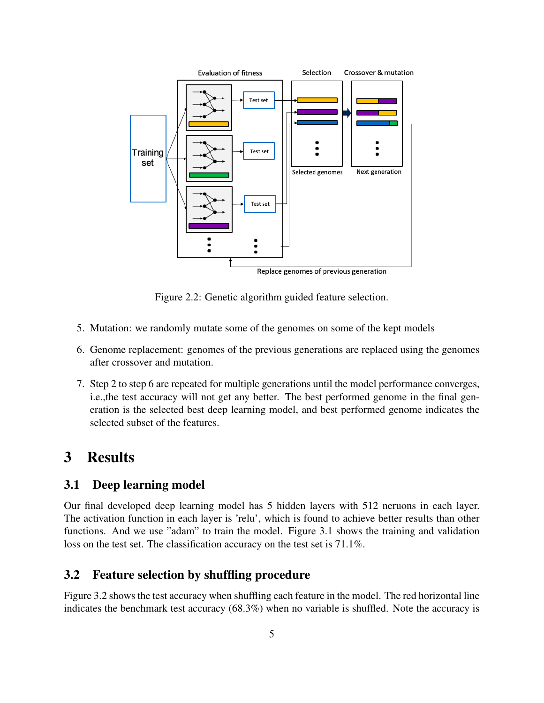

<span id="page-4-1"></span>Figure 2.2: Genetic algorithm guided feature selection.

- 5. Mutation: we randomly mutate some of the genomes on some of the kept models
- 6. Genome replacement: genomes of the previous generations are replaced using the genomes after crossover and mutation.
- 7. Step 2 to step 6 are repeated for multiple generations until the model performance converges, i.e.,the test accuracy will not get any better. The best performed genome in the final generation is the selected best deep learning model, and best performed genome indicates the selected subset of the features.

# <span id="page-4-0"></span>3 Results

### 3.1 Deep learning model

Our final developed deep learning model has 5 hidden layers with 512 neruons in each layer. The activation function in each layer is 'relu', which is found to achieve better results than other functions. And we use "adam" to train the model. Figure [3.1](#page-5-0) shows the training and validation loss on the test set. The classification accuracy on the test set is 71.1%.

### 3.2 Feature selection by shuffling procedure

Figure [3.2](#page-6-0) shows the test accuracy when shuffling each feature in the model. The red horizontal line indicates the benchmark test accuracy (68.3%) when no variable is shuffled. Note the accuracy is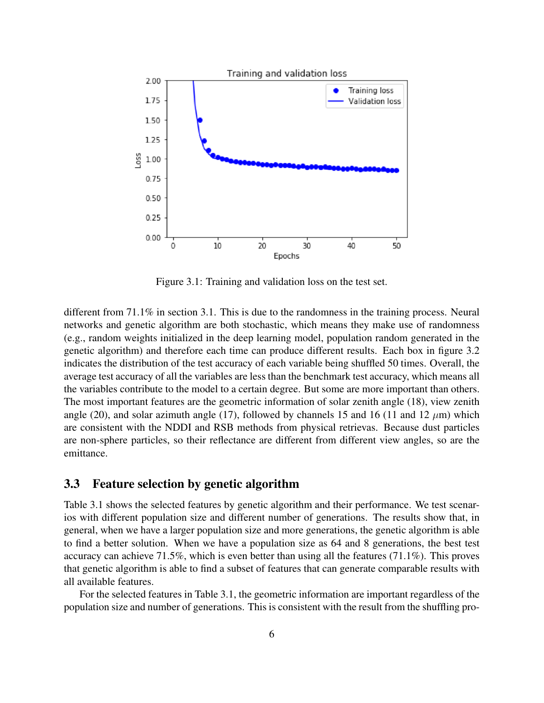

<span id="page-5-0"></span>Figure 3.1: Training and validation loss on the test set.

different from 71.1% in section 3.1. This is due to the randomness in the training process. Neural networks and genetic algorithm are both stochastic, which means they make use of randomness (e.g., random weights initialized in the deep learning model, population random generated in the genetic algorithm) and therefore each time can produce different results. Each box in figure [3.2](#page-6-0) indicates the distribution of the test accuracy of each variable being shuffled 50 times. Overall, the average test accuracy of all the variables are less than the benchmark test accuracy, which means all the variables contribute to the model to a certain degree. But some are more important than others. The most important features are the geometric information of solar zenith angle (18), view zenith angle (20), and solar azimuth angle (17), followed by channels 15 and 16 (11 and 12  $\mu$ m) which are consistent with the NDDI and RSB methods from physical retrievas. Because dust particles are non-sphere particles, so their reflectance are different from different view angles, so are the emittance.

### 3.3 Feature selection by genetic algorithm

Table [3.1](#page-7-3) shows the selected features by genetic algorithm and their performance. We test scenarios with different population size and different number of generations. The results show that, in general, when we have a larger population size and more generations, the genetic algorithm is able to find a better solution. When we have a population size as 64 and 8 generations, the best test accuracy can achieve 71.5%, which is even better than using all the features (71.1%). This proves that genetic algorithm is able to find a subset of features that can generate comparable results with all available features.

For the selected features in Table [3.1,](#page-7-3) the geometric information are important regardless of the population size and number of generations. This is consistent with the result from the shuffling pro-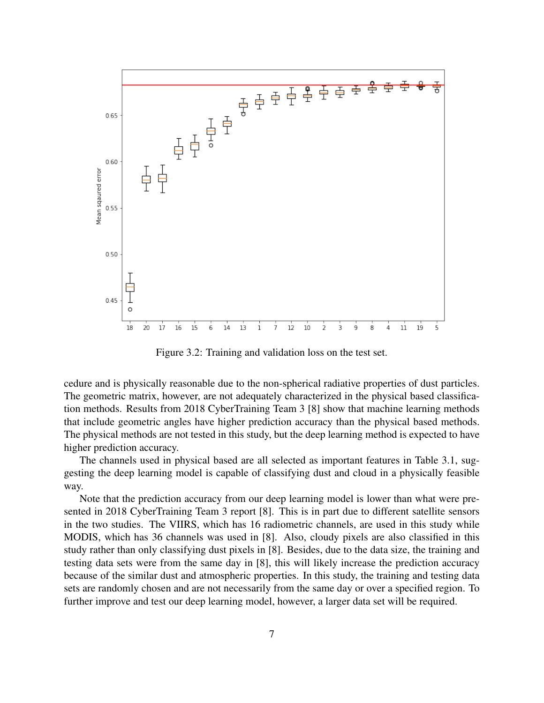

<span id="page-6-0"></span>Figure 3.2: Training and validation loss on the test set.

cedure and is physically reasonable due to the non-spherical radiative properties of dust particles. The geometric matrix, however, are not adequately characterized in the physical based classification methods. Results from 2018 CyberTraining Team 3 [\[8\]](#page-8-1) show that machine learning methods that include geometric angles have higher prediction accuracy than the physical based methods. The physical methods are not tested in this study, but the deep learning method is expected to have higher prediction accuracy.

The channels used in physical based are all selected as important features in Table [3.1,](#page-7-3) suggesting the deep learning model is capable of classifying dust and cloud in a physically feasible way.

Note that the prediction accuracy from our deep learning model is lower than what were presented in 2018 CyberTraining Team 3 report [\[8\]](#page-8-1). This is in part due to different satellite sensors in the two studies. The VIIRS, which has 16 radiometric channels, are used in this study while MODIS, which has 36 channels was used in [\[8\]](#page-8-1). Also, cloudy pixels are also classified in this study rather than only classifying dust pixels in [\[8\]](#page-8-1). Besides, due to the data size, the training and testing data sets were from the same day in [\[8\]](#page-8-1), this will likely increase the prediction accuracy because of the similar dust and atmospheric properties. In this study, the training and testing data sets are randomly chosen and are not necessarily from the same day or over a specified region. To further improve and test our deep learning model, however, a larger data set will be required.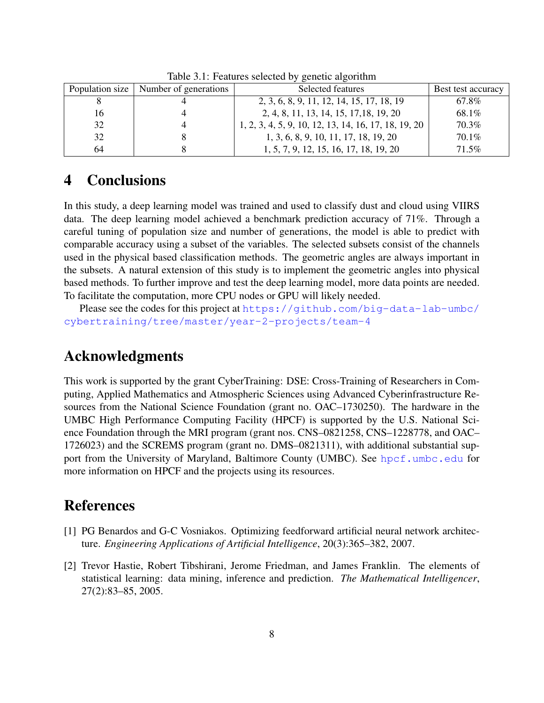|    | Population size   Number of generations | Selected features                                    | Best test accuracy |
|----|-----------------------------------------|------------------------------------------------------|--------------------|
|    |                                         | 2, 3, 6, 8, 9, 11, 12, 14, 15, 17, 18, 19            | 67.8%              |
| 16 |                                         | 2, 4, 8, 11, 13, 14, 15, 17, 18, 19, 20              | 68.1%              |
| 32 |                                         | 1, 2, 3, 4, 5, 9, 10, 12, 13, 14, 16, 17, 18, 19, 20 | 70.3%              |
| 32 |                                         | 1, 3, 6, 8, 9, 10, 11, 17, 18, 19, 20                | $70.1\%$           |
| 64 |                                         | 1, 5, 7, 9, 12, 15, 16, 17, 18, 19, 20               | 71.5%              |

<span id="page-7-3"></span>Table 3.1: Features selected by genetic algorithm

## <span id="page-7-0"></span>4 Conclusions

In this study, a deep learning model was trained and used to classify dust and cloud using VIIRS data. The deep learning model achieved a benchmark prediction accuracy of 71%. Through a careful tuning of population size and number of generations, the model is able to predict with comparable accuracy using a subset of the variables. The selected subsets consist of the channels used in the physical based classification methods. The geometric angles are always important in the subsets. A natural extension of this study is to implement the geometric angles into physical based methods. To further improve and test the deep learning model, more data points are needed. To facilitate the computation, more CPU nodes or GPU will likely needed.

Please see the codes for this project at [https://github.com/big-data-lab-umbc/](https://github.com/big-data-lab-umbc/cybertraining/tree/master/year-2-projects/team-4) [cybertraining/tree/master/year-2-projects/team-4](https://github.com/big-data-lab-umbc/cybertraining/tree/master/year-2-projects/team-4)

## Acknowledgments

This work is supported by the grant CyberTraining: DSE: Cross-Training of Researchers in Computing, Applied Mathematics and Atmospheric Sciences using Advanced Cyberinfrastructure Resources from the National Science Foundation (grant no. OAC–1730250). The hardware in the UMBC High Performance Computing Facility (HPCF) is supported by the U.S. National Science Foundation through the MRI program (grant nos. CNS–0821258, CNS–1228778, and OAC– 1726023) and the SCREMS program (grant no. DMS–0821311), with additional substantial support from the University of Maryland, Baltimore County (UMBC). See <hpcf.umbc.edu> for more information on HPCF and the projects using its resources.

## References

- <span id="page-7-2"></span>[1] PG Benardos and G-C Vosniakos. Optimizing feedforward artificial neural network architecture. *Engineering Applications of Artificial Intelligence*, 20(3):365–382, 2007.
- <span id="page-7-1"></span>[2] Trevor Hastie, Robert Tibshirani, Jerome Friedman, and James Franklin. The elements of statistical learning: data mining, inference and prediction. *The Mathematical Intelligencer*, 27(2):83–85, 2005.